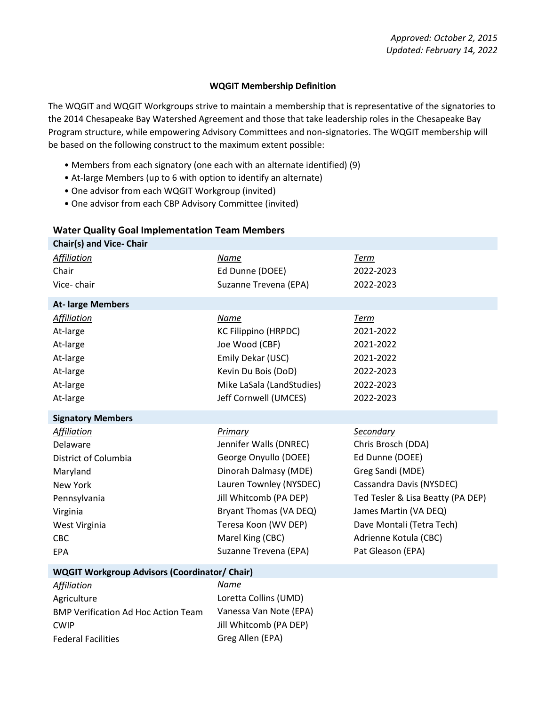## **WQGIT Membership Definition**

The WQGIT and WQGIT Workgroups strive to maintain a membership that is representative of the signatories to the 2014 Chesapeake Bay Watershed Agreement and those that take leadership roles in the Chesapeake Bay Program structure, while empowering Advisory Committees and non-signatories. The WQGIT membership will be based on the following construct to the maximum extent possible:

- Members from each signatory (one each with an alternate identified) (9)
- At-large Members (up to 6 with option to identify an alternate)
- One advisor from each WQGIT Workgroup (invited)
- One advisor from each CBP Advisory Committee (invited)

## **Water Quality Goal Implementation Team Members**

| <b>Chair(s) and Vice- Chair</b> |                             |                                   |
|---------------------------------|-----------------------------|-----------------------------------|
| <b>Affiliation</b>              | Name                        | <b>Term</b>                       |
| Chair                           | Ed Dunne (DOEE)             | 2022-2023                         |
| Vice-chair                      | Suzanne Trevena (EPA)       | 2022-2023                         |
| <b>At- large Members</b>        |                             |                                   |
| Affiliation                     | Name                        | <b>Term</b>                       |
| At-large                        | <b>KC Filippino (HRPDC)</b> | 2021-2022                         |
| At-large                        | Joe Wood (CBF)              | 2021-2022                         |
| At-large                        | Emily Dekar (USC)           | 2021-2022                         |
| At-large                        | Kevin Du Bois (DoD)         | 2022-2023                         |
| At-large                        | Mike LaSala (LandStudies)   | 2022-2023                         |
| At-large                        | Jeff Cornwell (UMCES)       | 2022-2023                         |
| <b>Signatory Members</b>        |                             |                                   |
| <b>Affiliation</b>              | Primary                     | Secondary                         |
| Delaware                        | Jennifer Walls (DNREC)      | Chris Brosch (DDA)                |
| District of Columbia            | George Onyullo (DOEE)       | Ed Dunne (DOEE)                   |
| Maryland                        | Dinorah Dalmasy (MDE)       | Greg Sandi (MDE)                  |
| New York                        | Lauren Townley (NYSDEC)     | Cassandra Davis (NYSDEC)          |
| Pennsylvania                    | Jill Whitcomb (PA DEP)      | Ted Tesler & Lisa Beatty (PA DEP) |
| Virginia                        | Bryant Thomas (VA DEQ)      | James Martin (VA DEQ)             |
| West Virginia                   | Teresa Koon (WV DEP)        | Dave Montali (Tetra Tech)         |
| <b>CBC</b>                      | Marel King (CBC)            | Adrienne Kotula (CBC)             |
| <b>EPA</b>                      | Suzanne Trevena (EPA)       | Pat Gleason (EPA)                 |
|                                 |                             |                                   |

## **WQGIT Workgroup Advisors (Coordinator/ Chair)**

| <b>Affiliation</b>                         |
|--------------------------------------------|
| Agriculture                                |
| <b>BMP Verification Ad Hoc Action Team</b> |
| <b>CWIP</b>                                |
| <b>Federal Facilities</b>                  |

*Affiliation Name* Loretta Collins (UMD) Vanessa Van Note (EPA) Jill Whitcomb (PA DEP) Greg Allen (EPA)